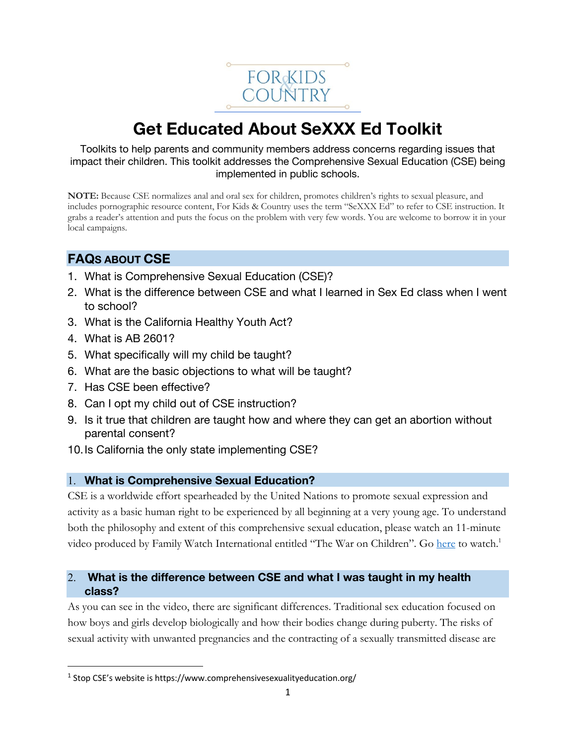

# **Get Educated About SeXXX Ed Toolkit**

Toolkits to help parents and community members address concerns regarding issues that impact their children. This toolkit addresses the Comprehensive Sexual Education (CSE) being implemented in public schools.

**NOTE:** Because CSE normalizes anal and oral sex for children, promotes children's rights to sexual pleasure, and includes pornographic resource content, For Kids & Country uses the term "SeXXX Ed" to refer to CSE instruction. It grabs a reader's attention and puts the focus on the problem with very few words. You are welcome to borrow it in your local campaigns.

# **FAQS ABOUT CSE**

- 1. What is Comprehensive Sexual Education (CSE)?
- 2. What is the difference between CSE and what I learned in Sex Ed class when I went to school?
- 3. What is the California Healthy Youth Act?
- 4. What is AB 2601?
- 5. What specifically will my child be taught?
- 6. What are the basic objections to what will be taught?
- 7. Has CSE been effective?
- 8. Can I opt my child out of CSE instruction?
- 9. Is it true that children are taught how and where they can get an abortion without parental consent?
- 10.Is California the only state implementing CSE?

# 1. **What is Comprehensive Sexual Education?**

CSE is a worldwide effort spearheaded by the United Nations to promote sexual expression and activity as a basic human right to be experienced by all beginning at a very young age. To understand both the philosophy and extent of this comprehensive sexual education, please watch an 11-minute video produced by Family Watch International entitled "The War on Children". Go here to watch.<sup>1</sup>

# 2. **What is the difference between CSE and what I was taught in my health class?**

As you can see in the video, there are significant differences. Traditional sex education focused on how boys and girls develop biologically and how their bodies change during puberty. The risks of sexual activity with unwanted pregnancies and the contracting of a sexually transmitted disease are

<sup>&</sup>lt;sup>1</sup> Stop CSE's website is https://www.comprehensivesexualityeducation.org/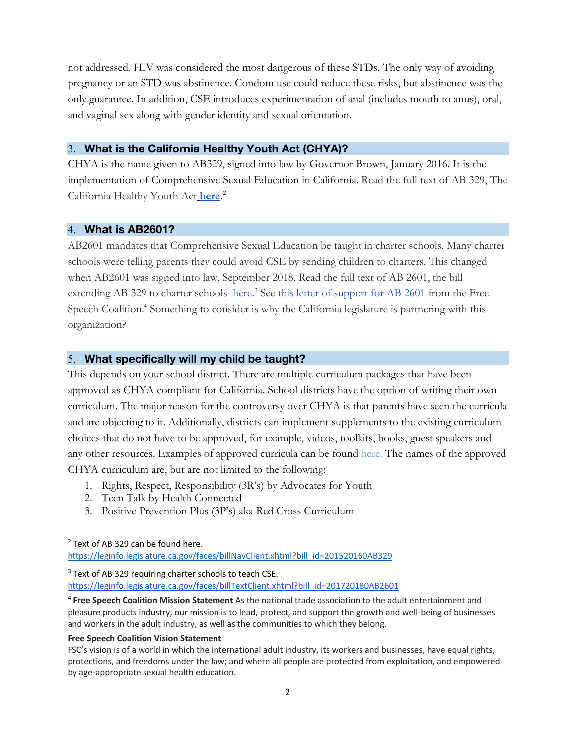not addressed. HIV was considered the most dangerous of these STDs. The only way of avoiding pregnancy or an STD was abstinence. Condom use could reduce these risks, but abstinence was the only guarantee. In addition, CSE introduces experimentation of anal (includes mouth to anus), oral, and vaginal sex along with gender identity and sexual orientation.

#### 3. **What is the California Healthy Youth Act (CHYA)?**

CHYA is the name given to AB329, signed into law by Governor Brown, January 2016. It is the implementation of Comprehensive Sexual Education in California. Read the full text of AB 329, The California Healthy Youth Act **here. 2**

#### 4. **What is AB2601?**

AB2601 mandates that Comprehensive Sexual Education be taught in charter schools. Many charter schools were telling parents they could avoid CSE by sending children to charters. This changed when AB2601 was signed into law, September 2018. Read the full text of AB 2601, the bill extending AB 329 to charter schools here.<sup>3</sup> See this letter of support for AB 2601 from the Free Speech Coalition.<sup>4</sup> Something to consider is why the California legislature is partnering with this organization?

#### 5. **What specifically will my child be taught?**

This depends on your school district. There are multiple curriculum packages that have been approved as CHYA compliant for California. School districts have the option of writing their own curriculum. The major reason for the controversy over CHYA is that parents have seen the curricula and are objecting to it. Additionally, districts can implement supplements to the existing curriculum choices that do not have to be approved, for example, videos, toolkits, books, guest speakers and any other resources. Examples of approved curricula can be found here. The names of the approved CHYA curriculum are, but are not limited to the following:

- 1. Rights, Respect, Responsibility (3R's) by Advocates for Youth
- 2. Teen Talk by Health Connected
- 3. Positive Prevention Plus (3P's) aka Red Cross Curriculum

<sup>3</sup> Text of AB 329 requiring charter schools to teach CSE.

https://leginfo.legislature.ca.gov/faces/billTextClient.xhtml?bill\_id=201720180AB2601

#### **Free Speech Coalition Vision Statement**

<sup>&</sup>lt;sup>2</sup> Text of AB 329 can be found here.

https://leginfo.legislature.ca.gov/faces/billNavClient.xhtml?bill\_id=201520160AB329

<sup>4</sup> **Free Speech Coalition Mission Statement** As the national trade association to the adult entertainment and pleasure products industry, our mission is to lead, protect, and support the growth and well-being of businesses and workers in the adult industry, as well as the communities to which they belong.

FSC's vision is of a world in which the international adult industry, its workers and businesses, have equal rights, protections, and freedoms under the law; and where all people are protected from exploitation, and empowered by age-appropriate sexual health education.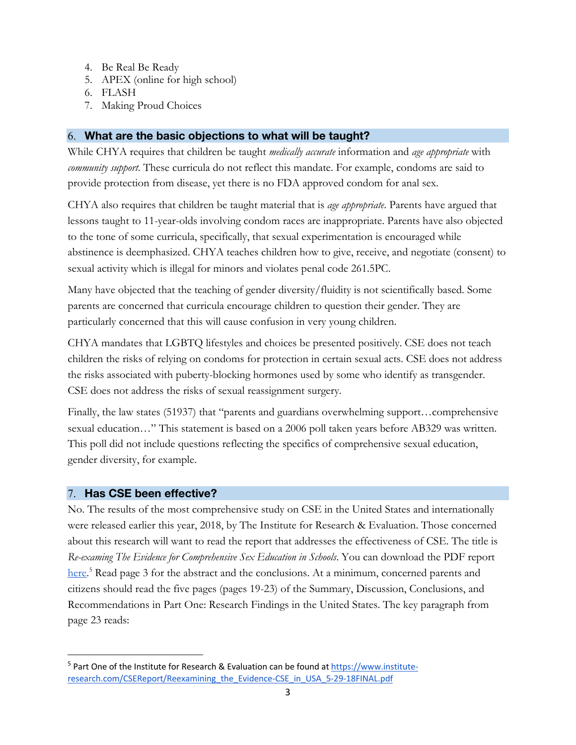- 4. Be Real Be Ready
- 5. APEX (online for high school)
- 6. FLASH
- 7. Making Proud Choices

# 6. **What are the basic objections to what will be taught?**

While CHYA requires that children be taught *medically accurate* information and *age appropriate* with *community support*. These curricula do not reflect this mandate. For example, condoms are said to provide protection from disease, yet there is no FDA approved condom for anal sex.

CHYA also requires that children be taught material that is *age appropriate*. Parents have argued that lessons taught to 11-year-olds involving condom races are inappropriate. Parents have also objected to the tone of some curricula, specifically, that sexual experimentation is encouraged while abstinence is deemphasized. CHYA teaches children how to give, receive, and negotiate (consent) to sexual activity which is illegal for minors and violates penal code 261.5PC.

Many have objected that the teaching of gender diversity/fluidity is not scientifically based. Some parents are concerned that curricula encourage children to question their gender. They are particularly concerned that this will cause confusion in very young children.

CHYA mandates that LGBTQ lifestyles and choices be presented positively. CSE does not teach children the risks of relying on condoms for protection in certain sexual acts. CSE does not address the risks associated with puberty-blocking hormones used by some who identify as transgender. CSE does not address the risks of sexual reassignment surgery.

Finally, the law states (51937) that "parents and guardians overwhelming support…comprehensive sexual education…" This statement is based on a 2006 poll taken years before AB329 was written. This poll did not include questions reflecting the specifics of comprehensive sexual education, gender diversity, for example.

## 7. **Has CSE been effective?**

No. The results of the most comprehensive study on CSE in the United States and internationally were released earlier this year, 2018, by The Institute for Research & Evaluation. Those concerned about this research will want to read the report that addresses the effectiveness of CSE. The title is *Re-examing The Evidence for Comprehensive Sex Education in Schools*. You can download the PDF report here.<sup>5</sup> Read page 3 for the abstract and the conclusions. At a minimum, concerned parents and citizens should read the five pages (pages 19-23) of the Summary, Discussion, Conclusions, and Recommendations in Part One: Research Findings in the United States. The key paragraph from page 23 reads:

 $5$  Part One of the Institute for Research & Evaluation can be found at https://www.instituteresearch.com/CSEReport/Reexamining\_the\_Evidence-CSE\_in\_USA\_5-29-18FINAL.pdf